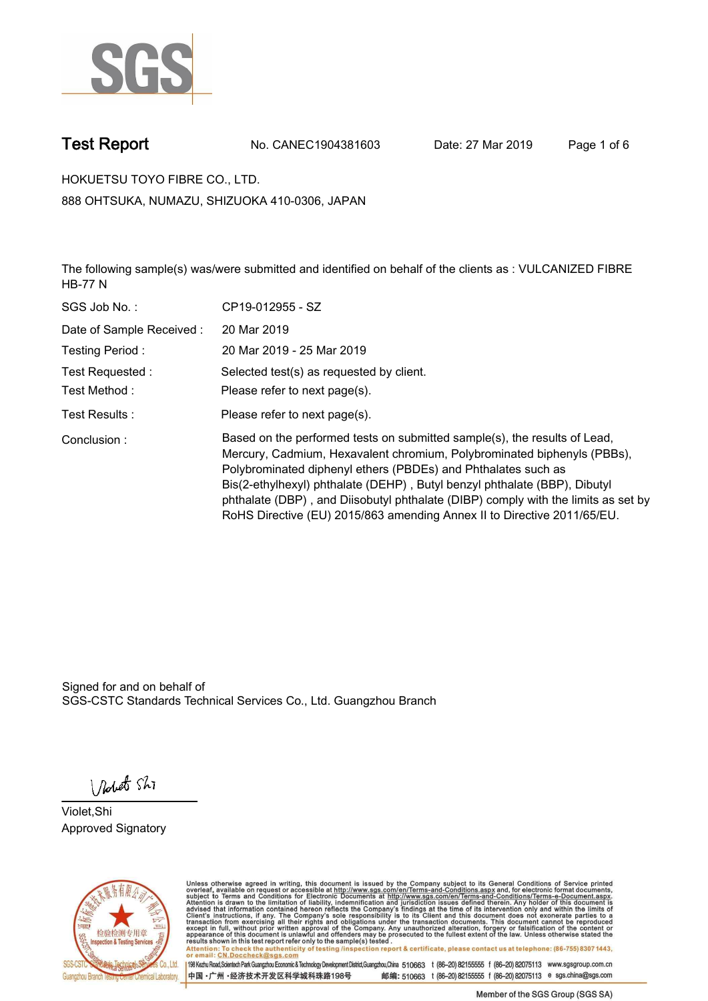

**Test Report. No. CANEC1904381603 Date: 27 Mar 2019. Page 1 of 6.**

**HOKUETSU TOYO FIBRE CO., LTD.. 888 OHTSUKA, NUMAZU, SHIZUOKA 410-0306, JAPAN**

**The following sample(s) was/were submitted and identified on behalf of the clients as : VULCANIZED FIBRE HB-77 N.**

| SGS Job No.:             | CP19-012955 - SZ                                                                                                                                                                                                                                                                                                                                                                                                                                                   |
|--------------------------|--------------------------------------------------------------------------------------------------------------------------------------------------------------------------------------------------------------------------------------------------------------------------------------------------------------------------------------------------------------------------------------------------------------------------------------------------------------------|
| Date of Sample Received: | 20 Mar 2019                                                                                                                                                                                                                                                                                                                                                                                                                                                        |
| Testing Period:          | 20 Mar 2019 - 25 Mar 2019                                                                                                                                                                                                                                                                                                                                                                                                                                          |
| Test Requested :         | Selected test(s) as requested by client.                                                                                                                                                                                                                                                                                                                                                                                                                           |
| Test Method :            | Please refer to next page(s).                                                                                                                                                                                                                                                                                                                                                                                                                                      |
| Test Results :           | Please refer to next page(s).                                                                                                                                                                                                                                                                                                                                                                                                                                      |
| Conclusion:              | Based on the performed tests on submitted sample(s), the results of Lead,<br>Mercury, Cadmium, Hexavalent chromium, Polybrominated biphenyls (PBBs),<br>Polybrominated diphenyl ethers (PBDEs) and Phthalates such as<br>Bis(2-ethylhexyl) phthalate (DEHP), Butyl benzyl phthalate (BBP), Dibutyl<br>phthalate (DBP), and Diisobutyl phthalate (DIBP) comply with the limits as set by<br>RoHS Directive (EU) 2015/863 amending Annex II to Directive 2011/65/EU. |

Signed for and on behalf of SGS-CSTC Standards Technical Services Co., Ltd. Guangzhou Branch.

Nobet Shi

**Violet,Shi. Approved Signatory.**



Unless otherwise agreed in writing, this document is issued by the Company subject to its General Conditions of Service printed<br>overleaf, available on request or accessible at http://www.sgs.com/en/Terms-and-Conditions.asp Attention: To check the authenticity of testing /inspection report & certificate, please contact us at telephone: (86-755) 8307 1443,<br>Attention: To check the authenticity of testing /inspection report & certificate, please

198 Kezhu Road,Scientech Park Guangzhou Economic & Technology Development District,Guangzhou,China 510663 t (86-20) 82155555 f (86-20) 82075113 www.sgsgroup.com.cn 邮编: 510663 t (86-20) 82155555 f (86-20) 82075113 e sgs.china@sgs.com 中国·广州·经济技术开发区科学城科珠路198号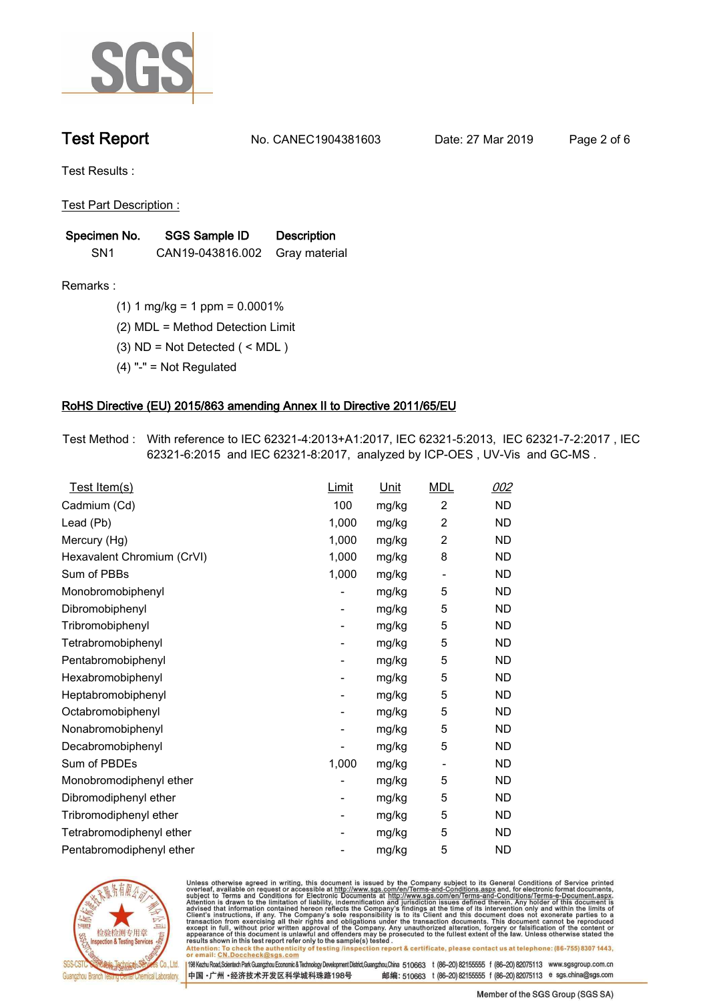

**Test Report. No. CANEC1904381603 Date: 27 Mar 2019. Page 2 of 6.**

**Test Results :.**

**Test Part Description :.**

| Specimen No.    | SGS Sample ID                  | <b>Description</b> |  |
|-----------------|--------------------------------|--------------------|--|
| SN <sub>1</sub> | CAN19-043816.002 Gray material |                    |  |

**Remarks :.(1) 1 mg/kg = 1 ppm = 0.0001%.**

**(2) MDL = Method Detection Limit.**

**(3) ND = Not Detected ( < MDL ).**

**(4) "-" = Not Regulated.**

### **RoHS Directive (EU) 2015/863 amending Annex II to Directive 2011/65/EU.**

**Test Method :. With reference to IEC 62321-4:2013+A1:2017, IEC 62321-5:2013, IEC 62321-7-2:2017 , IEC 62321-6:2015 and IEC 62321-8:2017, analyzed by ICP-OES , UV-Vis and GC-MS ..**

| Test Item(s)               | <u>Limit</u>             | <u>Unit</u> | <b>MDL</b>               | 002       |
|----------------------------|--------------------------|-------------|--------------------------|-----------|
| Cadmium (Cd)               | 100                      | mg/kg       | 2                        | <b>ND</b> |
| Lead (Pb)                  | 1,000                    | mg/kg       | $\overline{2}$           | <b>ND</b> |
| Mercury (Hg)               | 1,000                    | mg/kg       | 2                        | <b>ND</b> |
| Hexavalent Chromium (CrVI) | 1,000                    | mg/kg       | 8                        | <b>ND</b> |
| Sum of PBBs                | 1,000                    | mg/kg       | $\overline{\phantom{a}}$ | <b>ND</b> |
| Monobromobiphenyl          |                          | mg/kg       | 5                        | <b>ND</b> |
| Dibromobiphenyl            | $\overline{\phantom{a}}$ | mg/kg       | 5                        | <b>ND</b> |
| Tribromobiphenyl           | $\overline{\phantom{a}}$ | mg/kg       | 5                        | <b>ND</b> |
| Tetrabromobiphenyl         | $\overline{\phantom{a}}$ | mg/kg       | 5                        | <b>ND</b> |
| Pentabromobiphenyl         | -                        | mg/kg       | 5                        | <b>ND</b> |
| Hexabromobiphenyl          |                          | mg/kg       | 5                        | <b>ND</b> |
| Heptabromobiphenyl         | -                        | mg/kg       | 5                        | <b>ND</b> |
| Octabromobiphenyl          | ۰                        | mg/kg       | 5                        | <b>ND</b> |
| Nonabromobiphenyl          |                          | mg/kg       | 5                        | <b>ND</b> |
| Decabromobiphenyl          |                          | mg/kg       | 5                        | <b>ND</b> |
| Sum of PBDEs               | 1,000                    | mg/kg       | $\overline{\phantom{a}}$ | <b>ND</b> |
| Monobromodiphenyl ether    |                          | mg/kg       | 5                        | <b>ND</b> |
| Dibromodiphenyl ether      | $\overline{\phantom{a}}$ | mg/kg       | 5                        | <b>ND</b> |
| Tribromodiphenyl ether     | $\overline{\phantom{a}}$ | mg/kg       | 5                        | <b>ND</b> |
| Tetrabromodiphenyl ether   |                          | mg/kg       | 5                        | <b>ND</b> |
| Pentabromodiphenyl ether   |                          | mg/kg       | 5                        | <b>ND</b> |
|                            |                          |             |                          |           |



Unless otherwise agreed in writing, this document is issued by the Company subject to its General Conditions of Service printed<br>overleaf, available on request or accessible at http://www.sgs.com/en/Terms-and-Conditions.asp Attention: To check the authenticity of testing /inspection report & certificate, please contact us at telephone: (86-755) 8307 1443,<br>Attention: To check the authenticity of testing /inspection report & certificate, please

198 Kezhu Road,Scientech Park Guangzhou Economic & Technology Development District,Guangzhou,China 510663 t (86-20) 82155555 f (86-20) 82075113 www.sgsgroup.com.cn 邮编: 510663 t (86-20) 82155555 f (86-20) 82075113 e sgs.china@sgs.com 中国·广州·经济技术开发区科学城科珠路198号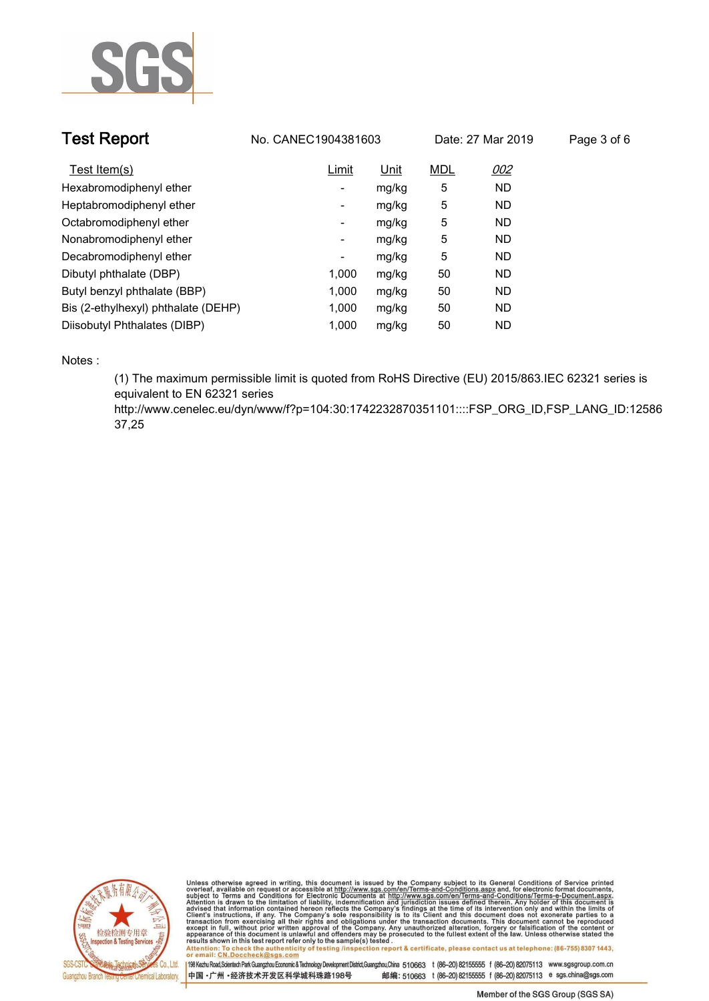

| <b>Test Report</b>                  | No. CANEC1904381603 | Date: 27 Mar 2019 |            | Page 3 of 6 |  |
|-------------------------------------|---------------------|-------------------|------------|-------------|--|
| Test Item(s)                        | Limit               | <u>Unit</u>       | <b>MDL</b> | 002         |  |
| Hexabromodiphenyl ether             | -                   | mg/kg             | 5          | <b>ND</b>   |  |
| Heptabromodiphenyl ether            | -                   | mg/kg             | 5          | <b>ND</b>   |  |
| Octabromodiphenyl ether             | ۰                   | mg/kg             | 5          | <b>ND</b>   |  |
| Nonabromodiphenyl ether             | Ξ.                  | mg/kg             | 5          | <b>ND</b>   |  |
| Decabromodiphenyl ether             | ۰                   | mg/kg             | 5          | <b>ND</b>   |  |
| Dibutyl phthalate (DBP)             | 1.000               | mg/kg             | 50         | <b>ND</b>   |  |
| Butyl benzyl phthalate (BBP)        | 1.000               | mg/kg             | 50         | <b>ND</b>   |  |
| Bis (2-ethylhexyl) phthalate (DEHP) | 1,000               | mg/kg             | 50         | <b>ND</b>   |  |
| Diisobutyl Phthalates (DIBP)        | 1.000               | mg/kg             | 50         | <b>ND</b>   |  |

**Notes :.**

**(1) The maximum permissible limit is quoted from RoHS Directive (EU) 2015/863.IEC 62321 series is equivalent to EN 62321 series** 

**http://www.cenelec.eu/dyn/www/f?p=104:30:1742232870351101::::FSP\_ORG\_ID,FSP\_LANG\_ID:12586 37,25.**



Unless otherwise agreed in writing, this document is issued by the Company subject to its General Conditions of Service printed<br>overleaf, available on request or accessible at http://www.sgs.com/en/Terms-and-Conditions.asp Attention: To check the authenticity of testing /inspection report & certificate, please contact us at telephone: (86-755) 8307 1443,<br>Attention: To check the authenticity of testing /inspection report & certificate, please

198 Kezhu Road,Scientech Park Guangzhou Economic & Technology Development District,Guangzhou,China 510663 t (86-20) 82155555 f (86-20) 82075113 www.sgsgroup.com.cn 中国·广州·经济技术开发区科学城科珠路198号 邮编: 510663 t (86-20) 82155555 f (86-20) 82075113 e sgs.china@sgs.com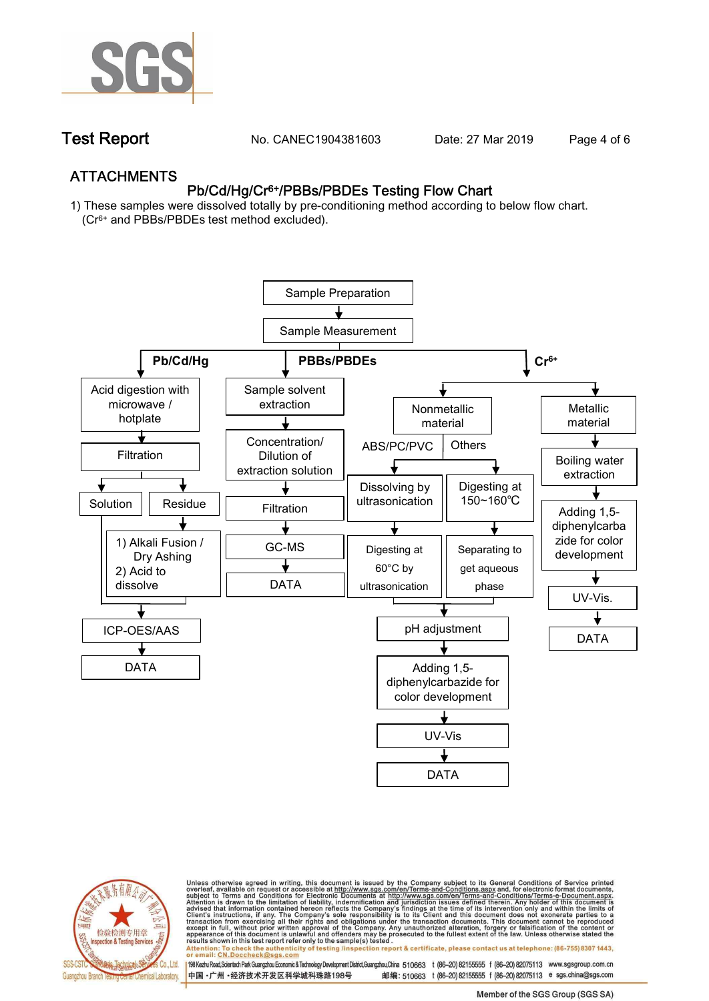

**Test Report. No. CANEC1904381603** Date: 27 Mar 2019 Page 4 of 6

## **ATTACHMENTS Pb/Cd/Hg/Cr6+/PBBs/PBDEs Testing Flow Chart**

**1) These samples were dissolved totally by pre-conditioning method according to below flow chart. (Cr6+ and PBBs/PBDEs test method excluded).**





Unless otherwise agreed in writing, this document is issued by the Company subject to its General Conditions of Service printed<br>overleaf, available on request or accessible at http://www.sgs.com/en/Terms-and-Conditions.asp résults shown in this test report refer only to the sample(s) tésted .<br>Attention: To check the authenticity of testing /inspection report & certificate, please contact us at telephone: (86-755) 8307 1443,<br>or email: <u>CN.Doc</u>

198 Kezhu Road,Scientech Park Guangzhou Economic & Technology Development District,Guangzhou,China 510663 t (86-20) 82155555 f (86-20) 82075113 www.sgsgroup.com.cn 邮编: 510663 t (86-20) 82155555 f (86-20) 82075113 e sgs.china@sgs.com 中国·广州·经济技术开发区科学城科珠路198号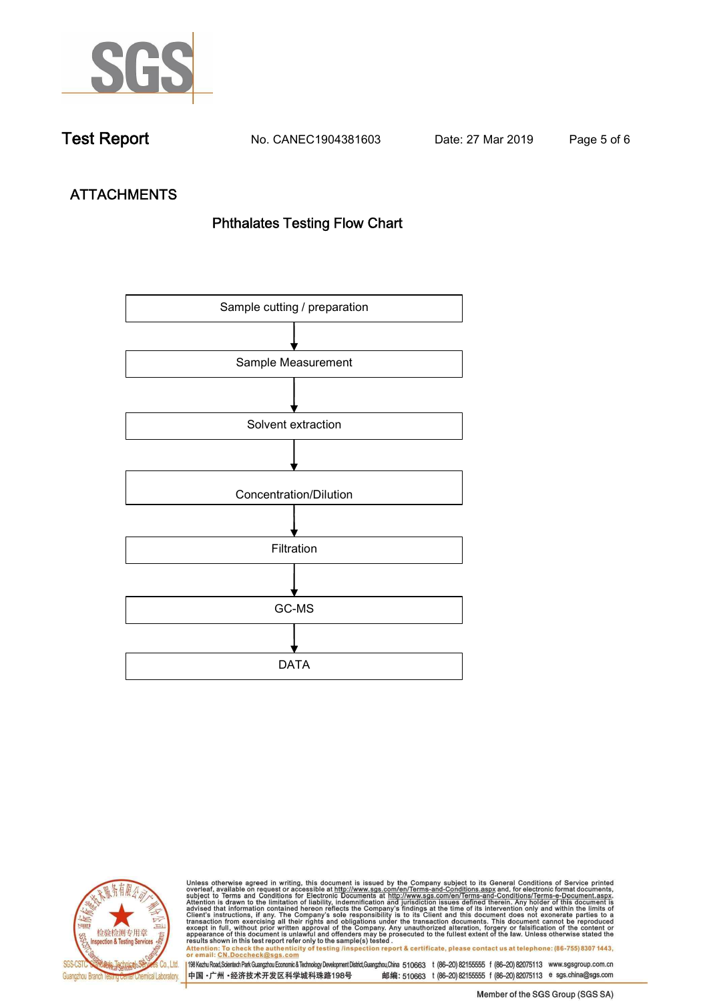

**Test Report. No. CANEC1904381603 Date: 27 Mar 2019. Page 5 of 6.**

# **ATTACHMENTS Phthalates Testing Flow Chart**





Unless otherwise agreed in writing, this document is issued by the Company subject to its General Conditions of Service printed<br>overleaf, available on request or accessible at http://www.sgs.com/en/Terms-and-Conditions.asp results shown in this test report refer only to the sample(s) tested .<br>Attention: To check the authenticity of testing /inspection report & certificate, please contact us at telephone: (86-755) 8307 1443,<br>or email: <u>CN.Doc</u>

198 Kezhu Road,Scientech Park Guangzhou Economic & Technology Development District,Guangzhou,China 510663 t (86-20) 82155555 f (86-20) 82075113 www.sgsgroup.com.cn 中国·广州·经济技术开发区科学城科珠路198号 邮编: 510663 t (86-20) 82155555 f (86-20) 82075113 e sgs.china@sgs.com